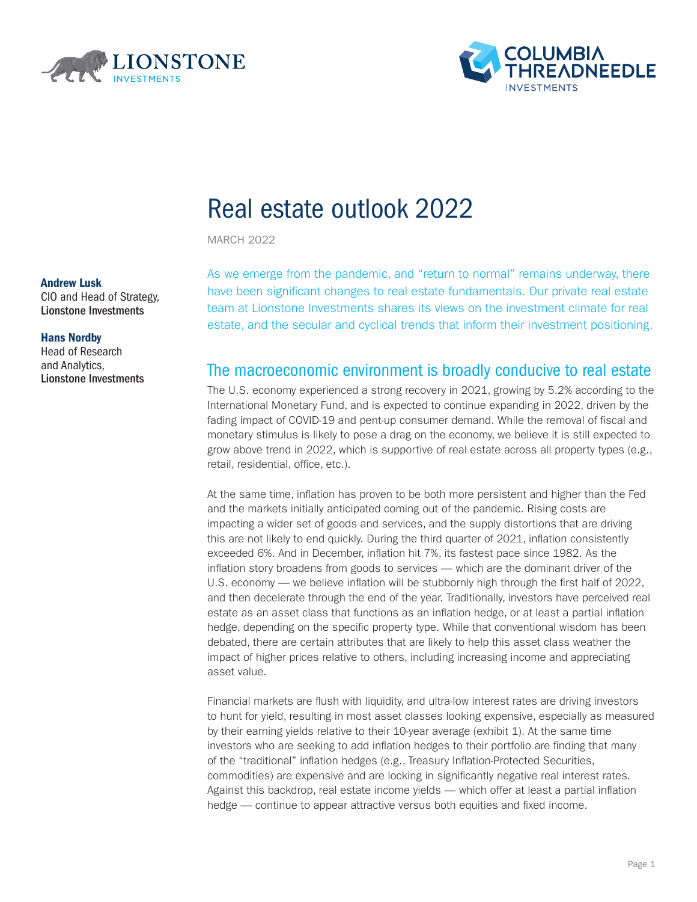



# Real estate outlook 2022

MARCH 2022

### Andrew Lusk

CIO and Head of Strategy, Lionstone Investments

#### Hans Nordby

Head of Research and Analytics, Lionstone Investments As we emerge from the pandemic, and "return to normal" remains underway, there have been significant changes to real estate fundamentals. Our private real estate team at Lionstone Investments shares its views on the investment climate for real estate, and the secular and cyclical trends that inform their investment positioning.

## The macroeconomic environment is broadly conducive to real estate

The U.S. economy experienced a strong recovery in 2021, growing by 5.2% according to the International Monetary Fund, and is expected to continue expanding in 2022, driven by the fading impact of COVID-19 and pent-up consumer demand. While the removal of fiscal and monetary stimulus is likely to pose a drag on the economy, we believe it is still expected to grow above trend in 2022, which is supportive of real estate across all property types (e.g., retail, residential, office, etc.).

At the same time, inflation has proven to be both more persistent and higher than the Fed and the markets initially anticipated coming out of the pandemic. Rising costs are impacting a wider set of goods and services, and the supply distortions that are driving this are not likely to end quickly. During the third quarter of 2021, inflation consistently exceeded 6%. And in December, inflation hit 7%, its fastest pace since 1982. As the inflation story broadens from goods to services — which are the dominant driver of the U.S. economy — we believe inflation will be stubbornly high through the first half of 2022, and then decelerate through the end of the year. Traditionally, investors have perceived real estate as an asset class that functions as an inflation hedge, or at least a partial inflation hedge, depending on the specific property type. While that conventional wisdom has been debated, there are certain attributes that are likely to help this asset class weather the impact of higher prices relative to others, including increasing income and appreciating asset value.

Financial markets are flush with liquidity, and ultra-low interest rates are driving investors to hunt for yield, resulting in most asset classes looking expensive, especially as measured by their earning yields relative to their 10-year average (exhibit 1). At the same time investors who are seeking to add inflation hedges to their portfolio are finding that many of the "traditional" inflation hedges (e.g., Treasury Inflation-Protected Securities, commodities) are expensive and are locking in significantly negative real interest rates. Against this backdrop, real estate income yields — which offer at least a partial inflation hedge — continue to appear attractive versus both equities and fixed income.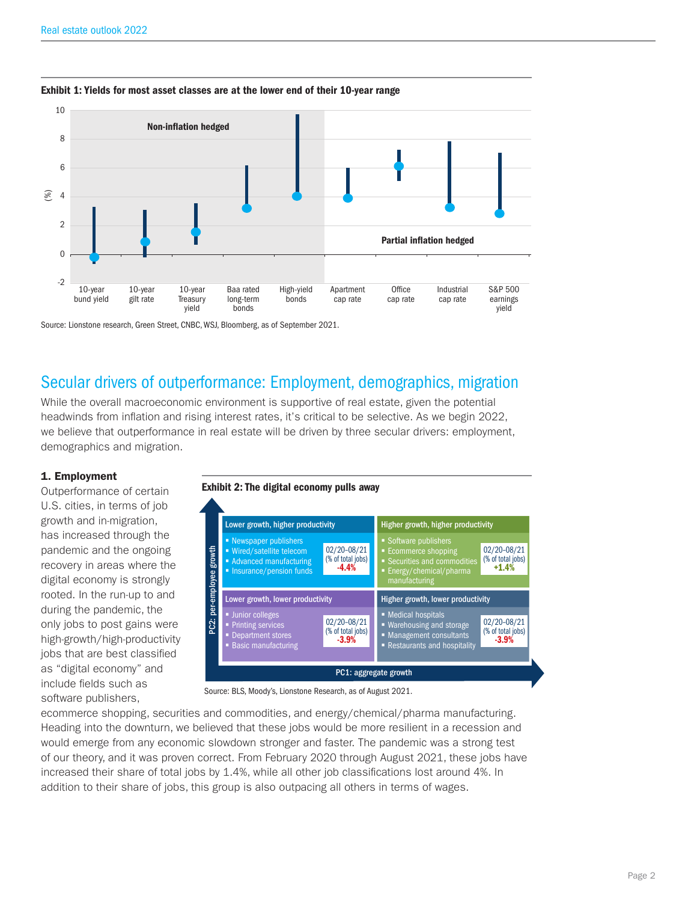

#### Exhibit 1: Yields for most asset classes are at the lower end of their 10-year range

Source: Lionstone research, Green Street, CNBC, WSJ, Bloomberg, as of September 2021.

## Secular drivers of outperformance: Employment, demographics, migration

While the overall macroeconomic environment is supportive of real estate, given the potential headwinds from inflation and rising interest rates, it's critical to be selective. As we begin 2022, we believe that outperformance in real estate will be driven by three secular drivers: employment, demographics and migration.

### 1. Employment

Outperformance of certain U.S. cities, in terms of job growth and in-migration, has increased through the pandemic and the ongoing recovery in areas where the digital economy is strongly rooted. In the run-up to and during the pandemic, the only jobs to post gains were high-growth/high-productivity jobs that are best classified as "digital economy" and include fields such as software publishers,





Source: BLS, Moody's, Lionstone Research, as of August 2021.

ecommerce shopping, securities and commodities, and energy/chemical/pharma manufacturing. Heading into the downturn, we believed that these jobs would be more resilient in a recession and would emerge from any economic slowdown stronger and faster. The pandemic was a strong test of our theory, and it was proven correct. From February 2020 through August 2021, these jobs have increased their share of total jobs by 1.4%, while all other job classifications lost around 4%. In addition to their share of jobs, this group is also outpacing all others in terms of wages.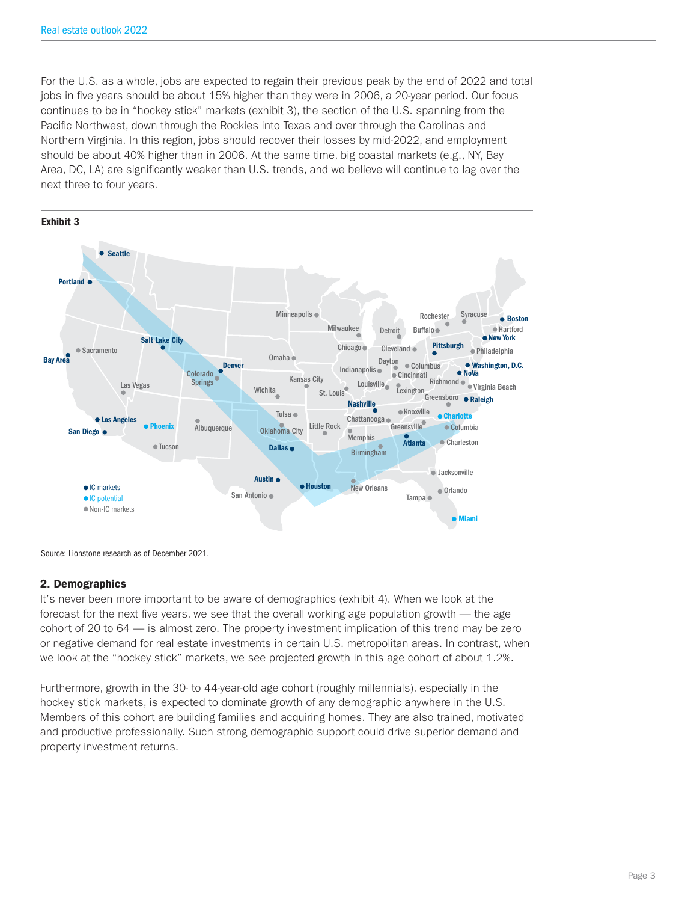For the U.S. as a whole, jobs are expected to regain their previous peak by the end of 2022 and total jobs in five years should be about 15% higher than they were in 2006, a 20-year period. Our focus continues to be in "hockey stick" markets (exhibit 3), the section of the U.S. spanning from the Pacific Northwest, down through the Rockies into Texas and over through the Carolinas and Northern Virginia. In this region, jobs should recover their losses by mid-2022, and employment should be about 40% higher than in 2006. At the same time, big coastal markets (e.g., NY, Bay Area, DC, LA) are significantly weaker than U.S. trends, and we believe will continue to lag over the next three to four years.



Source: Lionstone research as of December 2021.

#### 2. Demographics

It's never been more important to be aware of demographics (exhibit 4). When we look at the forecast for the next five years, we see that the overall working age population growth — the age cohort of 20 to 64 — is almost zero. The property investment implication of this trend may be zero or negative demand for real estate investments in certain U.S. metropolitan areas. In contrast, when we look at the "hockey stick" markets, we see projected growth in this age cohort of about 1.2%.

Furthermore, growth in the 30- to 44-year-old age cohort (roughly millennials), especially in the hockey stick markets, is expected to dominate growth of any demographic anywhere in the U.S. Members of this cohort are building families and acquiring homes. They are also trained, motivated and productive professionally. Such strong demographic support could drive superior demand and property investment returns.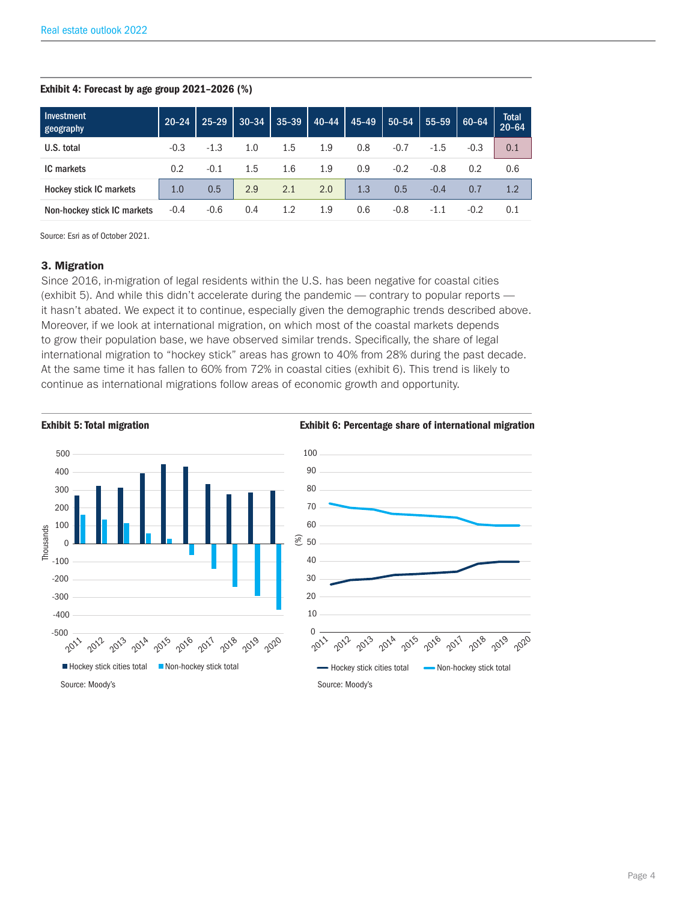#### Exhibit 4: Forecast by age group 2021–2026 (%)

| Investment<br>geography        | $20 - 24$ | $25 - 29$ | $30 - 34$ | $35 - 39$ | $40 - 44$ | $45 - 49$ | $50 - 54$ | 55-59  | 60-64  | Total<br>20-64 |
|--------------------------------|-----------|-----------|-----------|-----------|-----------|-----------|-----------|--------|--------|----------------|
| U.S. total                     | $-0.3$    | $-1.3$    | 1.0       | 1.5       | 1.9       | 0.8       | $-0.7$    | $-1.5$ | $-0.3$ | 0.1            |
| <b>IC</b> markets              | 0.2       | $-0.1$    | 1.5       | 1.6       | 1.9       | 0.9       | $-0.2$    | $-0.8$ | 0.2    | 0.6            |
| <b>Hockey stick IC markets</b> | 1.0       | 0.5       | 2.9       | 2.1       | 2.0       | 1.3       | 0.5       | $-0.4$ | 0.7    | 1.2            |
| Non-hockey stick IC markets    | $-0.4$    | $-0.6$    | 0.4       | 1.2       | 1.9       | 0.6       | $-0.8$    | $-1.1$ | $-0.2$ | 0.1            |

Source: Esri as of October 2021.

#### 3. Migration

Since 2016, in-migration of legal residents within the U.S. has been negative for coastal cities (exhibit 5). And while this didn't accelerate during the pandemic — contrary to popular reports it hasn't abated. We expect it to continue, especially given the demographic trends described above. Moreover, if we look at international migration, on which most of the coastal markets depends to grow their population base, we have observed similar trends. Specifically, the share of legal international migration to "hockey stick" areas has grown to 40% from 28% during the past decade. At the same time it has fallen to 60% from 72% in coastal cities (exhibit 6). This trend is likely to continue as international migrations follow areas of economic growth and opportunity.

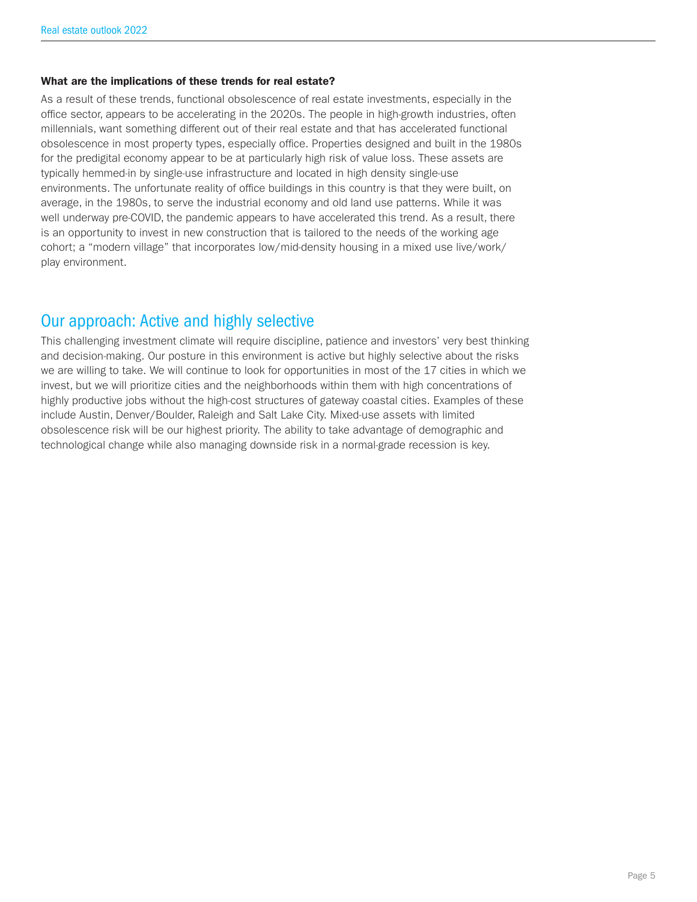#### What are the implications of these trends for real estate?

As a result of these trends, functional obsolescence of real estate investments, especially in the office sector, appears to be accelerating in the 2020s. The people in high-growth industries, often millennials, want something different out of their real estate and that has accelerated functional obsolescence in most property types, especially office. Properties designed and built in the 1980s for the predigital economy appear to be at particularly high risk of value loss. These assets are typically hemmed-in by single-use infrastructure and located in high density single-use environments. The unfortunate reality of office buildings in this country is that they were built, on average, in the 1980s, to serve the industrial economy and old land use patterns. While it was well underway pre-COVID, the pandemic appears to have accelerated this trend. As a result, there is an opportunity to invest in new construction that is tailored to the needs of the working age cohort; a "modern village" that incorporates low/mid-density housing in a mixed use live/work/ play environment.

## Our approach: Active and highly selective

This challenging investment climate will require discipline, patience and investors' very best thinking and decision-making. Our posture in this environment is active but highly selective about the risks we are willing to take. We will continue to look for opportunities in most of the 17 cities in which we invest, but we will prioritize cities and the neighborhoods within them with high concentrations of highly productive jobs without the high-cost structures of gateway coastal cities. Examples of these include Austin, Denver/Boulder, Raleigh and Salt Lake City. Mixed-use assets with limited obsolescence risk will be our highest priority. The ability to take advantage of demographic and technological change while also managing downside risk in a normal-grade recession is key.